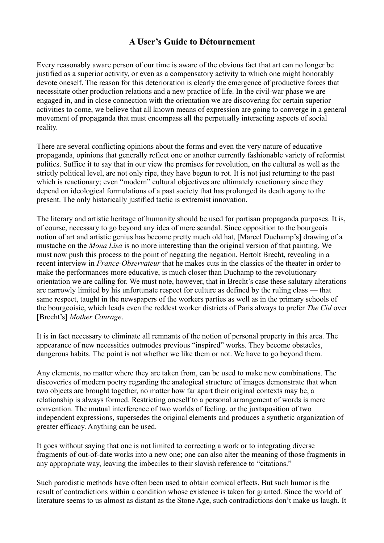## **A User's Guide to Détournement**

Every reasonably aware person of our time is aware of the obvious fact that art can no longer be justified as a superior activity, or even as a compensatory activity to which one might honorably devote oneself. The reason for this deterioration is clearly the emergence of productive forces that necessitate other production relations and a new practice of life. In the civil-war phase we are engaged in, and in close connection with the orientation we are discovering for certain superior activities to come, we believe that all known means of expression are going to converge in a general movement of propaganda that must encompass all the perpetually interacting aspects of social reality.

There are several conflicting opinions about the forms and even the very nature of educative propaganda, opinions that generally reflect one or another currently fashionable variety of reformist politics. Suffice it to say that in our view the premises for revolution, on the cultural as well as the strictly political level, are not only ripe, they have begun to rot. It is not just returning to the past which is reactionary; even "modern" cultural objectives are ultimately reactionary since they depend on ideological formulations of a past society that has prolonged its death agony to the present. The only historically justified tactic is extremist innovation.

The literary and artistic heritage of humanity should be used for partisan propaganda purposes. It is, of course, necessary to go beyond any idea of mere scandal. Since opposition to the bourgeois notion of art and artistic genius has become pretty much old hat, [Marcel Duchamp's] drawing of a mustache on the *Mona Lisa* is no more interesting than the original version of that painting. We must now push this process to the point of negating the negation. Bertolt Brecht, revealing in a recent interview in *France-Observateur* that he makes cuts in the classics of the theater in order to make the performances more educative, is much closer than Duchamp to the revolutionary orientation we are calling for. We must note, however, that in Brecht's case these salutary alterations are narrowly limited by his unfortunate respect for culture as defined by the ruling class — that same respect, taught in the newspapers of the workers parties as well as in the primary schools of the bourgeoisie, which leads even the reddest worker districts of Paris always to prefer *The Cid* over [Brecht's] *Mother Courage*.

It is in fact necessary to eliminate all remnants of the notion of personal property in this area. The appearance of new necessities outmodes previous "inspired" works. They become obstacles, dangerous habits. The point is not whether we like them or not. We have to go beyond them.

Any elements, no matter where they are taken from, can be used to make new combinations. The discoveries of modern poetry regarding the analogical structure of images demonstrate that when two objects are brought together, no matter how far apart their original contexts may be, a relationship is always formed. Restricting oneself to a personal arrangement of words is mere convention. The mutual interference of two worlds of feeling, or the juxtaposition of two independent expressions, supersedes the original elements and produces a synthetic organization of greater efficacy. Anything can be used.

It goes without saying that one is not limited to correcting a work or to integrating diverse fragments of out-of-date works into a new one; one can also alter the meaning of those fragments in any appropriate way, leaving the imbeciles to their slavish reference to "citations."

Such parodistic methods have often been used to obtain comical effects. But such humor is the result of contradictions within a condition whose existence is taken for granted. Since the world of literature seems to us almost as distant as the Stone Age, such contradictions don't make us laugh. It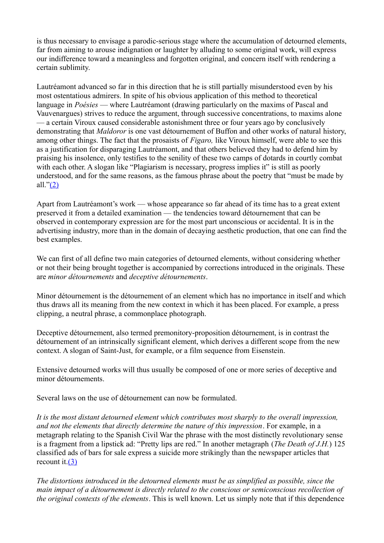is thus necessary to envisage a parodic-serious stage where the accumulation of detourned elements, far from aiming to arouse indignation or laughter by alluding to some original work, will express our indifference toward a meaningless and forgotten original, and concern itself with rendering a certain sublimity.

Lautréamont advanced so far in this direction that he is still partially misunderstood even by his most ostentatious admirers. In spite of his obvious application of this method to theoretical language in *Poésies* — where Lautréamont (drawing particularly on the maxims of Pascal and Vauvenargues) strives to reduce the argument, through successive concentrations, to maxims alone — a certain Viroux caused considerable astonishment three or four years ago by conclusively demonstrating that *Maldoror* is one vast détournement of Buffon and other works of natural history, among other things. The fact that the prosaists of *Figaro,* like Viroux himself, were able to see this as a justification for disparaging Lautréamont, and that others believed they had to defend him by praising his insolence, only testifies to the senility of these two camps of dotards in courtly combat with each other. A slogan like "Plagiarism is necessary, progress implies it" is still as poorly understood, and for the same reasons, as the famous phrase about the poetry that "must be made by all." $(2)$ 

Apart from Lautréamont's work — whose appearance so far ahead of its time has to a great extent preserved it from a detailed examination — the tendencies toward détournement that can be observed in contemporary expression are for the most part unconscious or accidental. It is in the advertising industry, more than in the domain of decaying aesthetic production, that one can find the best examples.

We can first of all define two main categories of detourned elements, without considering whether or not their being brought together is accompanied by corrections introduced in the originals. These are *minor détournements* and *deceptive détournements*.

Minor détournement is the détournement of an element which has no importance in itself and which thus draws all its meaning from the new context in which it has been placed. For example, a press clipping, a neutral phrase, a commonplace photograph.

Deceptive détournement, also termed premonitory-proposition détournement, is in contrast the détournement of an intrinsically significant element, which derives a different scope from the new context. A slogan of Saint-Just, for example, or a film sequence from Eisenstein.

Extensive detourned works will thus usually be composed of one or more series of deceptive and minor détournements.

Several laws on the use of détournement can now be formulated.

*It is the most distant detourned element which contributes most sharply to the overall impression, and not the elements that directly determine the nature of this impression*. For example, in a metagraph relating to the Spanish Civil War the phrase with the most distinctly revolutionary sense is a fragment from a lipstick ad: "Pretty lips are red." In another metagraph (*The Death of J.H.*) 125 classified ads of bars for sale express a suicide more strikingly than the newspaper articles that recount it.(3)

*The distortions introduced in the detourned elements must be as simplified as possible, since the main impact of a détournement is directly related to the conscious or semiconscious recollection of the original contexts of the elements*. This is well known. Let us simply note that if this dependence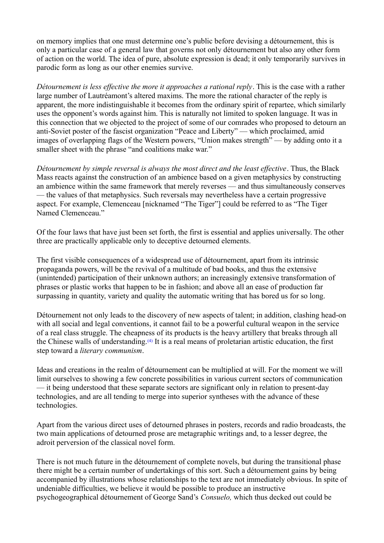on memory implies that one must determine one's public before devising a détournement, this is only a particular case of a general law that governs not only détournement but also any other form of action on the world. The idea of pure, absolute expression is dead; it only temporarily survives in parodic form as long as our other enemies survive.

*Détournement is less effective the more it approaches a rational reply*. This is the case with a rather large number of Lautréamont's altered maxims. The more the rational character of the reply is apparent, the more indistinguishable it becomes from the ordinary spirit of repartee, which similarly uses the opponent's words against him. This is naturally not limited to spoken language. It was in this connection that we objected to the project of some of our comrades who proposed to detourn an anti-Soviet poster of the fascist organization "Peace and Liberty" — which proclaimed, amid images of overlapping flags of the Western powers, "Union makes strength" — by adding onto it a smaller sheet with the phrase "and coalitions make war."

*Détournement by simple reversal is always the most direct and the least effective*. Thus, the Black Mass reacts against the construction of an ambience based on a given metaphysics by constructing an ambience within the same framework that merely reverses — and thus simultaneously conserves — the values of that metaphysics. Such reversals may nevertheless have a certain progressive aspect. For example, Clemenceau [nicknamed "The Tiger"] could be referred to as "The Tiger Named Clemenceau."

Of the four laws that have just been set forth, the first is essential and applies universally. The other three are practically applicable only to deceptive detourned elements.

The first visible consequences of a widespread use of détournement, apart from its intrinsic propaganda powers, will be the revival of a multitude of bad books, and thus the extensive (unintended) participation of their unknown authors; an increasingly extensive transformation of phrases or plastic works that happen to be in fashion; and above all an ease of production far surpassing in quantity, variety and quality the automatic writing that has bored us for so long.

Détournement not only leads to the discovery of new aspects of talent; in addition, clashing head-on with all social and legal conventions, it cannot fail to be a powerful cultural weapon in the service of a real class struggle. The cheapness of its products is the heavy artillery that breaks through all the Chinese walls of understanding.(4) It is a real means of proletarian artistic education, the first step toward a *literary communism*.

Ideas and creations in the realm of détournement can be multiplied at will. For the moment we will limit ourselves to showing a few concrete possibilities in various current sectors of communication — it being understood that these separate sectors are significant only in relation to present-day technologies, and are all tending to merge into superior syntheses with the advance of these technologies.

Apart from the various direct uses of detourned phrases in posters, records and radio broadcasts, the two main applications of detourned prose are metagraphic writings and, to a lesser degree, the adroit perversion of the classical novel form.

There is not much future in the détournement of complete novels, but during the transitional phase there might be a certain number of undertakings of this sort. Such a détournement gains by being accompanied by illustrations whose relationships to the text are not immediately obvious. In spite of undeniable difficulties, we believe it would be possible to produce an instructive psychogeographical détournement of George Sand's *Consuelo,* which thus decked out could be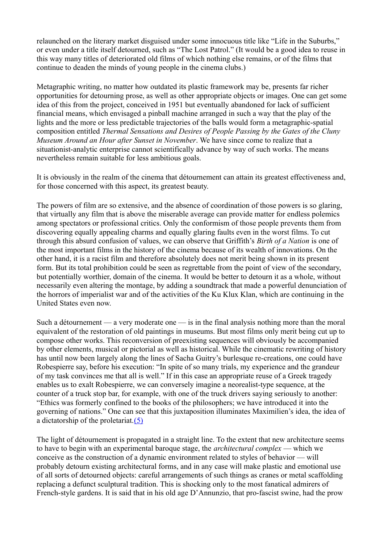relaunched on the literary market disguised under some innocuous title like "Life in the Suburbs," or even under a title itself detourned, such as "The Lost Patrol." (It would be a good idea to reuse in this way many titles of deteriorated old films of which nothing else remains, or of the films that continue to deaden the minds of young people in the cinema clubs.)

Metagraphic writing, no matter how outdated its plastic framework may be, presents far richer opportunities for detourning prose, as well as other appropriate objects or images. One can get some idea of this from the project, conceived in 1951 but eventually abandoned for lack of sufficient financial means, which envisaged a pinball machine arranged in such a way that the play of the lights and the more or less predictable trajectories of the balls would form a metagraphic-spatial composition entitled *Thermal Sensations and Desires of People Passing by the Gates of the Cluny Museum Around an Hour after Sunset in November*. We have since come to realize that a situationist-analytic enterprise cannot scientifically advance by way of such works. The means nevertheless remain suitable for less ambitious goals.

It is obviously in the realm of the cinema that détournement can attain its greatest effectiveness and, for those concerned with this aspect, its greatest beauty.

The powers of film are so extensive, and the absence of coordination of those powers is so glaring, that virtually any film that is above the miserable average can provide matter for endless polemics among spectators or professional critics. Only the conformism of those people prevents them from discovering equally appealing charms and equally glaring faults even in the worst films. To cut through this absurd confusion of values, we can observe that Griffith's *Birth of a Nation* is one of the most important films in the history of the cinema because of its wealth of innovations. On the other hand, it is a racist film and therefore absolutely does not merit being shown in its present form. But its total prohibition could be seen as regrettable from the point of view of the secondary, but potentially worthier, domain of the cinema. It would be better to detourn it as a whole, without necessarily even altering the montage, by adding a soundtrack that made a powerful denunciation of the horrors of imperialist war and of the activities of the Ku Klux Klan, which are continuing in the United States even now.

Such a détournement — a very moderate one — is in the final analysis nothing more than the moral equivalent of the restoration of old paintings in museums. But most films only merit being cut up to compose other works. This reconversion of preexisting sequences will obviously be accompanied by other elements, musical or pictorial as well as historical. While the cinematic rewriting of history has until now been largely along the lines of Sacha Guitry's burlesque re-creations, one could have Robespierre say, before his execution: "In spite of so many trials, my experience and the grandeur of my task convinces me that all is well." If in this case an appropriate reuse of a Greek tragedy enables us to exalt Robespierre, we can conversely imagine a neorealist-type sequence, at the counter of a truck stop bar, for example, with one of the truck drivers saying seriously to another: "Ethics was formerly confined to the books of the philosophers; we have introduced it into the governing of nations." One can see that this juxtaposition illuminates Maximilien's idea, the idea of a dictatorship of the proletariat. $(5)$ 

The light of détournement is propagated in a straight line. To the extent that new architecture seems to have to begin with an experimental baroque stage, the *architectural complex* — which we conceive as the construction of a dynamic environment related to styles of behavior — will probably detourn existing architectural forms, and in any case will make plastic and emotional use of all sorts of detourned objects: careful arrangements of such things as cranes or metal scaffolding replacing a defunct sculptural tradition. This is shocking only to the most fanatical admirers of French-style gardens. It is said that in his old age D'Annunzio, that pro-fascist swine, had the prow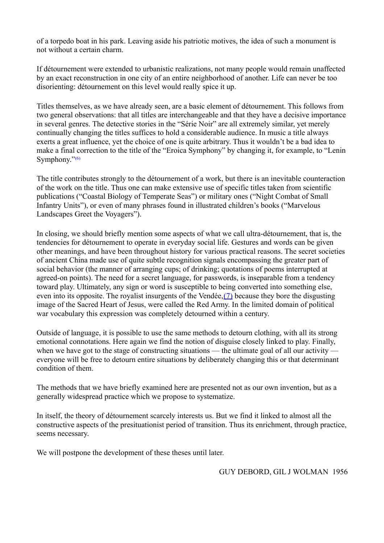of a torpedo boat in his park. Leaving aside his patriotic motives, the idea of such a monument is not without a certain charm.

If détournement were extended to urbanistic realizations, not many people would remain unaffected by an exact reconstruction in one city of an entire neighborhood of another. Life can never be too disorienting: détournement on this level would really spice it up.

Titles themselves, as we have already seen, are a basic element of détournement. This follows from two general observations: that all titles are interchangeable and that they have a decisive importance in several genres. The detective stories in the "Série Noir" are all extremely similar, yet merely continually changing the titles suffices to hold a considerable audience. In music a title always exerts a great influence, yet the choice of one is quite arbitrary. Thus it wouldn't be a bad idea to make a final correction to the title of the "Eroica Symphony" by changing it, for example, to "Lenin Symphony."<sup>(6)</sup>

The title contributes strongly to the détournement of a work, but there is an inevitable counteraction of the work on the title. Thus one can make extensive use of specific titles taken from scientific publications ("Coastal Biology of Temperate Seas") or military ones ("Night Combat of Small Infantry Units"), or even of many phrases found in illustrated children's books ("Marvelous Landscapes Greet the Voyagers").

In closing, we should briefly mention some aspects of what we call ultra-détournement, that is, the tendencies for détournement to operate in everyday social life. Gestures and words can be given other meanings, and have been throughout history for various practical reasons. The secret societies of ancient China made use of quite subtle recognition signals encompassing the greater part of social behavior (the manner of arranging cups; of drinking; quotations of poems interrupted at agreed-on points). The need for a secret language, for passwords, is inseparable from a tendency toward play. Ultimately, any sign or word is susceptible to being converted into something else, even into its opposite. The royalist insurgents of the Vendée,(7) because they bore the disgusting image of the Sacred Heart of Jesus, were called the Red Army. In the limited domain of political war vocabulary this expression was completely detourned within a century.

Outside of language, it is possible to use the same methods to detourn clothing, with all its strong emotional connotations. Here again we find the notion of disguise closely linked to play. Finally, when we have got to the stage of constructing situations — the ultimate goal of all our activity everyone will be free to detourn entire situations by deliberately changing this or that determinant condition of them.

The methods that we have briefly examined here are presented not as our own invention, but as a generally widespread practice which we propose to systematize.

In itself, the theory of détournement scarcely interests us. But we find it linked to almost all the constructive aspects of the presituationist period of transition. Thus its enrichment, through practice, seems necessary.

We will postpone the development of these theses until later.

GUY DEBORD, GIL J WOLMAN 1956